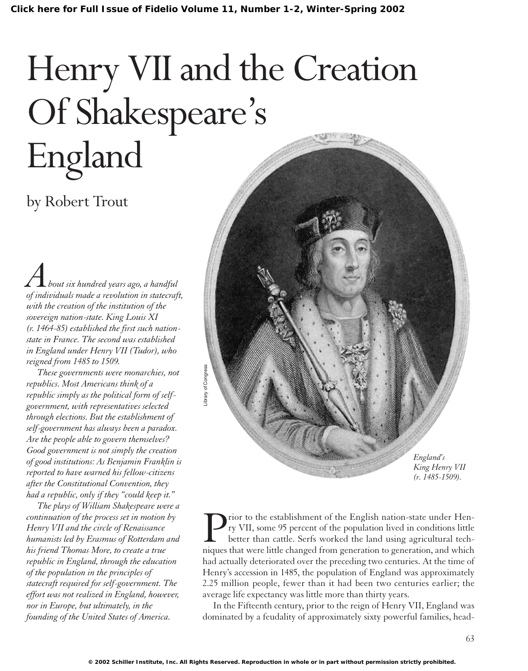# Henry VII and the Creation Of Shakespeare's England

# by Robert Trout

*About six hundred years ago, a handful of individuals made a revolution in statecraft, with the creation of the institution of the sovereign nation-state. King Louis XI (r. 1464-85) established the first such nationstate in France. The second was established in England under Henry VII (Tudor), who reigned from 1485 to 1509.*

*These governments were monarchies, not republics. Most Americans think of a republic simply as the political form of selfgovernment, with representatives selected through elections. But the establishment of self-government has always been a paradox. Are the people able to govern themselves? Good government is not simply the creation of good institutions: As Benjamin Franklin is reported to have warned his fellow-citizens after the Constitutional Convention, they had a republic, only if they "could keep it."*

*The plays of William Shakespeare were a continuation of the process set in motion by Henry VII and the circle of Renaissance humanists led by Erasmus of Rotterdam and his friend Thomas More, to create a true republic in England, through the education of the population in the principles of statecraft required for self-government. The effort was not realized in England, however, nor in Europe, but ultimately, in the founding of the United States of America.*



**P**rior to the establishment of the English nation-state under Hen-<br>ry VII, some 95 percent of the population lived in conditions little<br>better than cattle. Serfs worked the land using agricultural tech-<br>niques that were l ry VII, some 95 percent of the population lived in conditions little better than cattle. Serfs worked the land using agricultural techniques that were little changed from generation to generation, and which had actually deteriorated over the preceding two centuries. At the time of Henry's accession in 1485, the population of England was approximately 2.25 million people, fewer than it had been two centuries earlier; the average life expectancy was little more than thirty years.

In the Fifteenth century, prior to the reign of Henry VII, England was dominated by a feudality of approximately sixty powerful families, head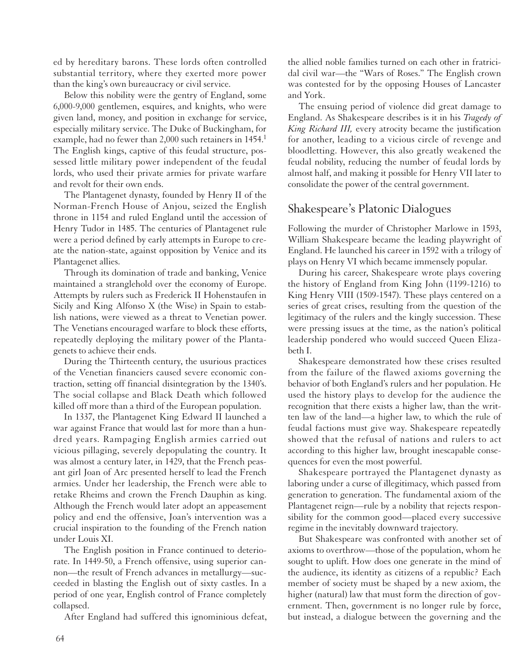ed by hereditary barons. These lords often controlled substantial territory, where they exerted more power than the king's own bureaucracy or civil service.

Below this nobility were the gentry of England, some 6,000-9,000 gentlemen, esquires, and knights, who were given land, money, and position in exchange for service, especially military service. The Duke of Buckingham, for example, had no fewer than 2,000 such retainers in 1454.<sup>1</sup> The English kings, captive of this feudal structure, possessed little military power independent of the feudal lords, who used their private armies for private warfare and revolt for their own ends.

The Plantagenet dynasty, founded by Henry II of the Norman-French House of Anjou, seized the English throne in 1154 and ruled England until the accession of Henry Tudor in 1485. The centuries of Plantagenet rule were a period defined by early attempts in Europe to create the nation-state, against opposition by Venice and its Plantagenet allies.

Through its domination of trade and banking, Venice maintained a stranglehold over the economy of Europe. Attempts by rulers such as Frederick II Hohenstaufen in Sicily and King Alfonso X (the Wise) in Spain to establish nations, were viewed as a threat to Venetian power. The Venetians encouraged warfare to block these efforts, repeatedly deploying the military power of the Plantagenets to achieve their ends.

During the Thirteenth century, the usurious practices of the Venetian financiers caused severe economic contraction, setting off financial disintegration by the 1340's. The social collapse and Black Death which followed killed off more than a third of the European population.

In 1337, the Plantagenet King Edward II launched a war against France that would last for more than a hundred years. Rampaging English armies carried out vicious pillaging, severely depopulating the country. It was almost a century later, in 1429, that the French peasant girl Joan of Arc presented herself to lead the French armies. Under her leadership, the French were able to retake Rheims and crown the French Dauphin as king. Although the French would later adopt an appeasement policy and end the offensive, Joan's intervention was a crucial inspiration to the founding of the French nation under Louis XI.

The English position in France continued to deteriorate. In 1449-50, a French offensive, using superior cannon—the result of French advances in metallurgy—succeeded in blasting the English out of sixty castles. In a period of one year, English control of France completely collapsed.

After England had suffered this ignominious defeat,

the allied noble families turned on each other in fratricidal civil war—the "Wars of Roses." The English crown was contested for by the opposing Houses of Lancaster and York.

The ensuing period of violence did great damage to England. As Shakespeare describes is it in his *Tragedy of King Richard III,* every atrocity became the justification for another, leading to a vicious circle of revenge and bloodletting. However, this also greatly weakened the feudal nobility, reducing the number of feudal lords by almost half, and making it possible for Henry VII later to consolidate the power of the central government.

## Shakespeare's Platonic Dialogues

Following the murder of Christopher Marlowe in 1593, William Shakespeare became the leading playwright of England. He launched his career in 1592 with a trilogy of plays on Henry VI which became immensely popular.

During his career, Shakespeare wrote plays covering the history of England from King John (1199-1216) to King Henry VIII (1509-1547). These plays centered on a series of great crises, resulting from the question of the legitimacy of the rulers and the kingly succession. These were pressing issues at the time, as the nation's political leadership pondered who would succeed Queen Elizabeth I.

Shakespeare demonstrated how these crises resulted from the failure of the flawed axioms governing the behavior of both England's rulers and her population. He used the history plays to develop for the audience the recognition that there exists a higher law, than the written law of the land—a higher law, to which the rule of feudal factions must give way. Shakespeare repeatedly showed that the refusal of nations and rulers to act according to this higher law, brought inescapable consequences for even the most powerful.

Shakespeare portrayed the Plantagenet dynasty as laboring under a curse of illegitimacy, which passed from generation to generation. The fundamental axiom of the Plantagenet reign—rule by a nobility that rejects responsibility for the common good—placed every successive regime in the inevitably downward trajectory.

But Shakespeare was confronted with another set of axioms to overthrow—those of the population, whom he sought to uplift. How does one generate in the mind of the audience, its identity as citizens of a republic? Each member of society must be shaped by a new axiom, the higher (natural) law that must form the direction of government. Then, government is no longer rule by force, but instead, a dialogue between the governing and the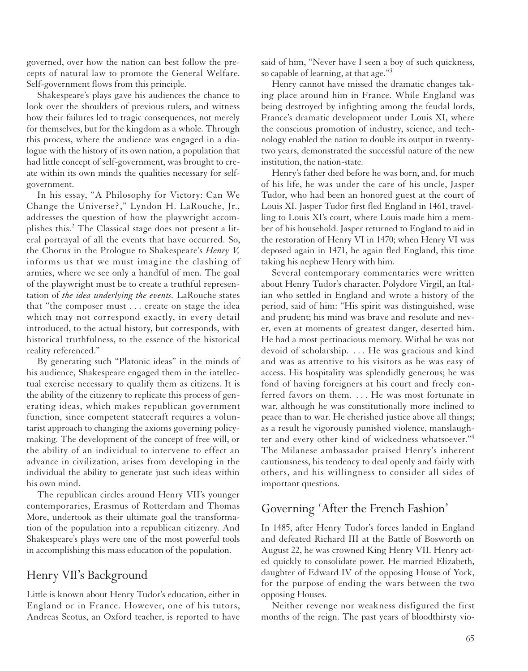governed, over how the nation can best follow the precepts of natural law to promote the General Welfare. Self-government flows from this principle.

Shakespeare's plays gave his audiences the chance to look over the shoulders of previous rulers, and witness how their failures led to tragic consequences, not merely for themselves, but for the kingdom as a whole. Through this process, where the audience was engaged in a dialogue with the history of its own nation, a population that had little concept of self-government, was brought to create within its own minds the qualities necessary for selfgovernment.

In his essay, "A Philosophy for Victory: Can We Change the Universe?," Lyndon H. LaRouche, Jr., addresses the question of how the playwright accomplishes this.<sup>2</sup> The Classical stage does not present a literal portrayal of all the events that have occurred. So, the Chorus in the Prologue to Shakespeare's *Henry V,* informs us that we must imagine the clashing of armies, where we see only a handful of men. The goal of the playwright must be to create a truthful representation of *the idea underlying the events.* LaRouche states that "the composer must . . . create on stage the idea which may not correspond exactly, in every detail introduced, to the actual history, but corresponds, with historical truthfulness, to the essence of the historical reality referenced."

By generating such "Platonic ideas" in the minds of his audience, Shakespeare engaged them in the intellectual exercise necessary to qualify them as citizens. It is the ability of the citizenry to replicate this process of generating ideas, which makes republican government function, since competent statecraft requires a voluntarist approach to changing the axioms governing policymaking. The development of the concept of free will, or the ability of an individual to intervene to effect an advance in civilization, arises from developing in the individual the ability to generate just such ideas within his own mind.

The republican circles around Henry VII's younger contemporaries, Erasmus of Rotterdam and Thomas More, undertook as their ultimate goal the transformation of the population into a republican citizenry. And Shakespeare's plays were one of the most powerful tools in accomplishing this mass education of the population.

## Henry VII's Background

Little is known about Henry Tudor's education, either in England or in France. However, one of his tutors, Andreas Scotus, an Oxford teacher, is reported to have said of him, "Never have I seen a boy of such quickness, so capable of learning, at that age."<sup>3</sup>

Henry cannot have missed the dramatic changes taking place around him in France. While England was being destroyed by infighting among the feudal lords, France's dramatic development under Louis XI, where the conscious promotion of industry, science, and technology enabled the nation to double its output in twentytwo years, demonstrated the successful nature of the new institution, the nation-state.

Henry's father died before he was born, and, for much of his life, he was under the care of his uncle, Jasper Tudor, who had been an honored guest at the court of Louis XI. Jasper Tudor first fled England in 1461, travelling to Louis XI's court, where Louis made him a member of his household. Jasper returned to England to aid in the restoration of Henry VI in 1470; when Henry VI was deposed again in 1471, he again fled England, this time taking his nephew Henry with him.

Several contemporary commentaries were written about Henry Tudor's character. Polydore Virgil, an Italian who settled in England and wrote a history of the period, said of him: "His spirit was distinguished, wise and prudent; his mind was brave and resolute and never, even at moments of greatest danger, deserted him. He had a most pertinacious memory. Withal he was not devoid of scholarship. . . . He was gracious and kind and was as attentive to his visitors as he was easy of access. His hospitality was splendidly generous; he was fond of having foreigners at his court and freely conferred favors on them. . . . He was most fortunate in war, although he was constitutionally more inclined to peace than to war. He cherished justice above all things; as a result he vigorously punished violence, manslaughter and every other kind of wickedness whatsoever."<sup>4</sup> The Milanese ambassador praised Henry's inherent cautiousness, his tendency to deal openly and fairly with others, and his willingness to consider all sides of important questions.

## Governing 'After the French Fashion'

In 1485, after Henry Tudor's forces landed in England and defeated Richard III at the Battle of Bosworth on August 22, he was crowned King Henry VII. Henry acted quickly to consolidate power. He married Elizabeth, daughter of Edward IV of the opposing House of York, for the purpose of ending the wars between the two opposing Houses.

Neither revenge nor weakness disfigured the first months of the reign. The past years of bloodthirsty vio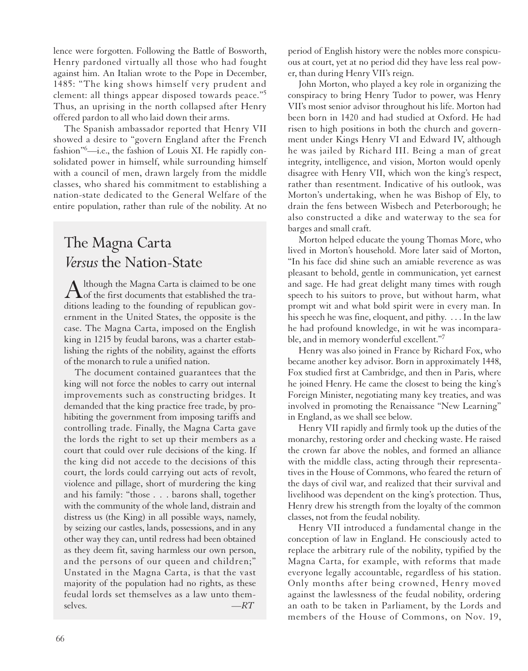lence were forgotten. Following the Battle of Bosworth, Henry pardoned virtually all those who had fought against him. An Italian wrote to the Pope in December, 1485: "The king shows himself very prudent and clement: all things appear disposed towards peace."<sup>5</sup> Thus, an uprising in the north collapsed after Henry offered pardon to all who laid down their arms.

The Spanish ambassador reported that Henry VII showed a desire to "govern England after the French fashion"6 —i.e., the fashion of Louis XI. He rapidly consolidated power in himself, while surrounding himself with a council of men, drawn largely from the middle classes, who shared his commitment to establishing a nation-state dedicated to the General Welfare of the entire population, rather than rule of the nobility. At no

# The Magna Carta *Versus* the Nation-State

Although the Magna Carta is claimed to be one<br>of the first documents that established the traditions leading to the founding of republican government in the United States, the opposite is the case. The Magna Carta, imposed on the English king in 1215 by feudal barons, was a charter establishing the rights of the nobility, against the efforts of the monarch to rule a unified nation.

The document contained guarantees that the king will not force the nobles to carry out internal improvements such as constructing bridges. It demanded that the king practice free trade, by prohibiting the government from imposing tariffs and controlling trade. Finally, the Magna Carta gave the lords the right to set up their members as a court that could over rule decisions of the king. If the king did not accede to the decisions of this court, the lords could carrying out acts of revolt, violence and pillage, short of murdering the king and his family: "those . . . barons shall, together with the community of the whole land, distrain and distress us (the King) in all possible ways, namely, by seizing our castles, lands, possessions, and in any other way they can, until redress had been obtained as they deem fit, saving harmless our own person, and the persons of our queen and children;" Unstated in the Magna Carta, is that the vast majority of the population had no rights, as these feudal lords set themselves as a law unto themselves. *—RT*

period of English history were the nobles more conspicuous at court, yet at no period did they have less real power, than during Henry VII's reign.

John Morton, who played a key role in organizing the conspiracy to bring Henry Tudor to power, was Henry VII's most senior advisor throughout his life. Morton had been born in 1420 and had studied at Oxford. He had risen to high positions in both the church and government under Kings Henry VI and Edward IV, although he was jailed by Richard III. Being a man of great integrity, intelligence, and vision, Morton would openly disagree with Henry VII, which won the king's respect, rather than resentment. Indicative of his outlook, was Morton's undertaking, when he was Bishop of Ely, to drain the fens between Wisbech and Peterborough; he also constructed a dike and waterway to the sea for barges and small craft.

Morton helped educate the young Thomas More, who lived in Morton's household. More later said of Morton, "In his face did shine such an amiable reverence as was pleasant to behold, gentle in communication, yet earnest and sage. He had great delight many times with rough speech to his suitors to prove, but without harm, what prompt wit and what bold spirit were in every man. In his speech he was fine, eloquent, and pithy. . . . In the law he had profound knowledge, in wit he was incomparable, and in memory wonderful excellent."7

Henry was also joined in France by Richard Fox, who became another key advisor. Born in approximately 1448, Fox studied first at Cambridge, and then in Paris, where he joined Henry. He came the closest to being the king's Foreign Minister, negotiating many key treaties, and was involved in promoting the Renaissance "New Learning" in England, as we shall see below.

Henry VII rapidly and firmly took up the duties of the monarchy, restoring order and checking waste. He raised the crown far above the nobles, and formed an alliance with the middle class, acting through their representatives in the House of Commons, who feared the return of the days of civil war, and realized that their survival and livelihood was dependent on the king's protection. Thus, Henry drew his strength from the loyalty of the common classes, not from the feudal nobility.

Henry VII introduced a fundamental change in the conception of law in England. He consciously acted to replace the arbitrary rule of the nobility, typified by the Magna Carta, for example, with reforms that made everyone legally accountable, regardless of his station. Only months after being crowned, Henry moved against the lawlessness of the feudal nobility, ordering an oath to be taken in Parliament, by the Lords and members of the House of Commons, on Nov. 19,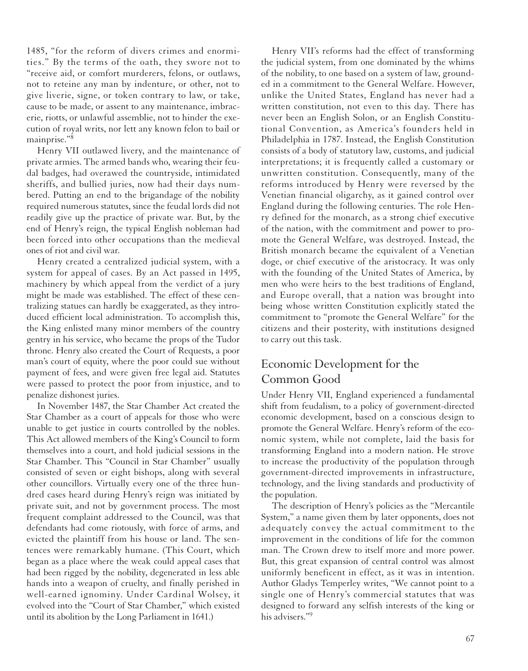1485, "for the reform of divers crimes and enormities." By the terms of the oath, they swore not to "receive aid, or comfort murderers, felons, or outlaws, not to reteine any man by indenture, or other, not to give liverie, signe, or token contrary to law, or take, cause to be made, or assent to any maintenance, imbracerie, riotts, or unlawful assemblie, not to hinder the execution of royal writs, nor lett any known felon to bail or mainprise."8

Henry VII outlawed livery, and the maintenance of private armies. The armed bands who, wearing their feudal badges, had overawed the countryside, intimidated sheriffs, and bullied juries, now had their days numbered. Putting an end to the brigandage of the nobility required numerous statutes, since the feudal lords did not readily give up the practice of private war. But, by the end of Henry's reign, the typical English nobleman had been forced into other occupations than the medieval ones of riot and civil war.

Henry created a centralized judicial system, with a system for appeal of cases. By an Act passed in 1495, machinery by which appeal from the verdict of a jury might be made was established. The effect of these centralizing statues can hardly be exaggerated, as they introduced efficient local administration. To accomplish this, the King enlisted many minor members of the country gentry in his service, who became the props of the Tudor throne. Henry also created the Court of Requests, a poor man's court of equity, where the poor could sue without payment of fees, and were given free legal aid. Statutes were passed to protect the poor from injustice, and to penalize dishonest juries.

In November 1487, the Star Chamber Act created the Star Chamber as a court of appeals for those who were unable to get justice in courts controlled by the nobles. This Act allowed members of the King's Council to form themselves into a court, and hold judicial sessions in the Star Chamber. This "Council in Star Chamber" usually consisted of seven or eight bishops, along with several other councillors. Virtually every one of the three hundred cases heard during Henry's reign was initiated by private suit, and not by government process. The most frequent complaint addressed to the Council, was that defendants had come riotously, with force of arms, and evicted the plaintiff from his house or land. The sentences were remarkably humane. (This Court, which began as a place where the weak could appeal cases that had been rigged by the nobility, degenerated in less able hands into a weapon of cruelty, and finally perished in well-earned ignominy. Under Cardinal Wolsey, it evolved into the "Court of Star Chamber," which existed until its abolition by the Long Parliament in 1641.)

Henry VII's reforms had the effect of transforming the judicial system, from one dominated by the whims of the nobility, to one based on a system of law, grounded in a commitment to the General Welfare. However, unlike the United States, England has never had a written constitution, not even to this day. There has never been an English Solon, or an English Constitutional Convention, as America's founders held in Philadelphia in 1787. Instead, the English Constitution consists of a body of statutory law, customs, and judicial interpretations; it is frequently called a customary or unwritten constitution. Consequently, many of the reforms introduced by Henry were reversed by the Venetian financial oligarchy, as it gained control over England during the following centuries. The role Henry defined for the monarch, as a strong chief executive of the nation, with the commitment and power to promote the General Welfare, was destroyed. Instead, the British monarch became the equivalent of a Venetian doge, or chief executive of the aristocracy. It was only with the founding of the United States of America, by men who were heirs to the best traditions of England, and Europe overall, that a nation was brought into being whose written Constitution explicitly stated the commitment to "promote the General Welfare" for the citizens and their posterity, with institutions designed to carry out this task.

## Economic Development for the Common Good

Under Henry VII, England experienced a fundamental shift from feudalism, to a policy of government-directed economic development, based on a conscious design to promote the General Welfare. Henry's reform of the economic system, while not complete, laid the basis for transforming England into a modern nation. He strove to increase the productivity of the population through government-directed improvements in infrastructure, technology, and the living standards and productivity of the population.

The description of Henry's policies as the "Mercantile System," a name given them by later opponents, does not adequately convey the actual commitment to the improvement in the conditions of life for the common man. The Crown drew to itself more and more power. But, this great expansion of central control was almost uniformly beneficent in effect, as it was in intention. Author Gladys Temperley writes, "We cannot point to a single one of Henry's commercial statutes that was designed to forward any selfish interests of the king or his advisers."9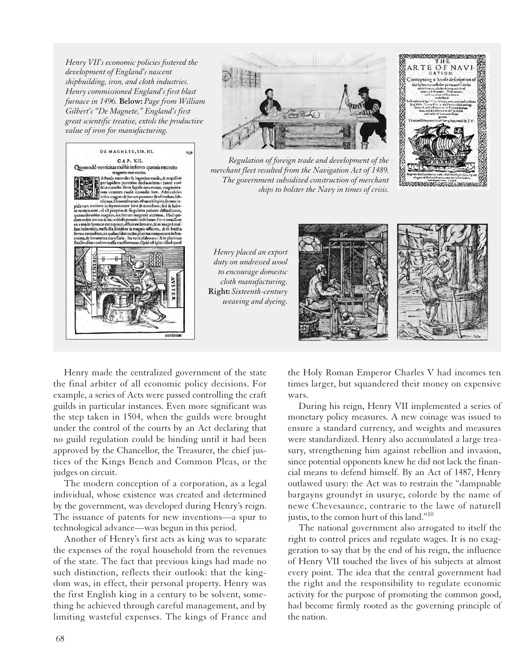*Henry VII's economic policies fostered the development of England's nascent shipbuilding, iron, and cloth industries. Henry commissioned England's first blast furnace in 1496.* **Below:** *Page from William Gilbert's "De Magnete," England's first great scientific treatise, extols the productive value of iron for manufacturing.*





*Regulation of foreign trade and development of the merchant fleet resulted from the Navigation Act of 1489. The government subsidized construction of merchant ships to bolster the Navy in times of crisis.*

*Henry placed an export duty on undressed wool to encourage domestic cloth manufacturing.* **Right:** *Sixteenth-century weaving and dyeing.*



THE **ARTE OF NAV** GATION Contayning a breife defeription

ENERGY DE STATISTISCHE

Henry made the centralized government of the state the final arbiter of all economic policy decisions. For example, a series of Acts were passed controlling the craft guilds in particular instances. Even more significant was the step taken in 1504, when the guilds were brought under the control of the courts by an Act declaring that no guild regulation could be binding until it had been approved by the Chancellor, the Treasurer, the chief justices of the Kings Bench and Common Pleas, or the judges on circuit.

The modern conception of a corporation, as a legal individual, whose existence was created and determined by the government, was developed during Henry's reign. The issuance of patents for new inventions—a spur to technological advance—was begun in this period.

Another of Henry's first acts as king was to separate the expenses of the royal household from the revenues of the state. The fact that previous kings had made no such distinction, reflects their outlook: that the kingdom was, in effect, their personal property. Henry was the first English king in a century to be solvent, something he achieved through careful management, and by limiting wasteful expenses. The kings of France and the Holy Roman Emperor Charles V had incomes ten times larger, but squandered their money on expensive wars.

During his reign, Henry VII implemented a series of monetary policy measures. A new coinage was issued to ensure a standard currency, and weights and measures were standardized. Henry also accumulated a large treasury, strengthening him against rebellion and invasion, since potential opponents knew he did not lack the financial means to defend himself. By an Act of 1487, Henry outlawed usury: the Act was to restrain the "dampnable bargayns groundyt in usurye, colorde by the name of newe Chevesaunce, contrarie to the lawe of naturell justis, to the comon hurt of this land."10

The national government also arrogated to itself the right to control prices and regulate wages. It is no exaggeration to say that by the end of his reign, the influence of Henry VII touched the lives of his subjects at almost every point. The idea that the central government had the right and the responsibility to regulate economic activity for the purpose of promoting the common good, had become firmly rooted as the governing principle of the nation.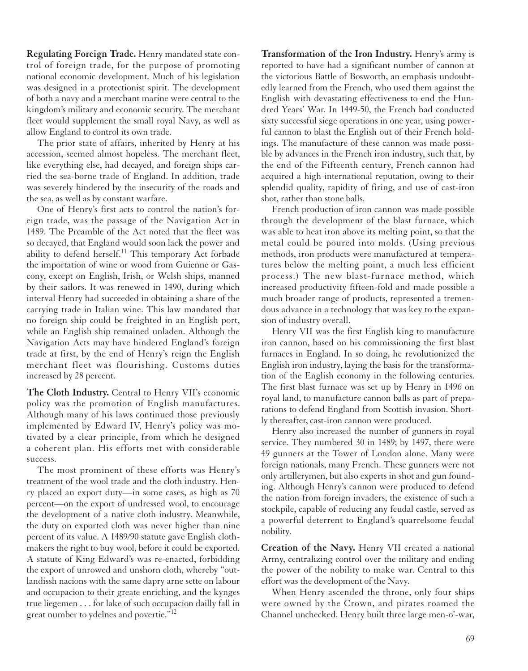**Regulating Foreign Trade.** Henry mandated state control of foreign trade, for the purpose of promoting national economic development. Much of his legislation was designed in a protectionist spirit. The development of both a navy and a merchant marine were central to the kingdom's military and economic security. The merchant fleet would supplement the small royal Navy, as well as allow England to control its own trade.

The prior state of affairs, inherited by Henry at his accession, seemed almost hopeless. The merchant fleet, like everything else, had decayed, and foreign ships carried the sea-borne trade of England. In addition, trade was severely hindered by the insecurity of the roads and the sea, as well as by constant warfare.

One of Henry's first acts to control the nation's foreign trade, was the passage of the Navigation Act in 1489. The Preamble of the Act noted that the fleet was so decayed, that England would soon lack the power and ability to defend herself.<sup>11</sup> This temporary Act forbade the importation of wine or wood from Guienne or Gascony, except on English, Irish, or Welsh ships, manned by their sailors. It was renewed in 1490, during which interval Henry had succeeded in obtaining a share of the carrying trade in Italian wine. This law mandated that no foreign ship could be freighted in an English port, while an English ship remained unladen. Although the Navigation Acts may have hindered England's foreign trade at first, by the end of Henry's reign the English merchant fleet was flourishing. Customs duties increased by 28 percent.

The Cloth Industry. Central to Henry VII's economic policy was the promotion of English manufactures. Although many of his laws continued those previously implemented by Edward IV, Henry's policy was motivated by a clear principle, from which he designed a coherent plan. His efforts met with considerable success.

The most prominent of these efforts was Henry's treatment of the wool trade and the cloth industry. Henry placed an export duty—in some cases, as high as 70 percent—on the export of undressed wool, to encourage the development of a native cloth industry. Meanwhile, the duty on exported cloth was never higher than nine percent of its value. A 1489/90 statute gave English clothmakers the right to buy wool, before it could be exported. A statute of King Edward's was re-enacted, forbidding the export of unrowed and unshorn cloth, whereby "outlandissh nacions with the same dapry arne sette on labour and occupacion to their greate enriching, and the kynges true liegemen . . . for lake of such occupacion dailly fall in great number to ydelnes and povertie."<sup>12</sup>

**Transformation of the Iron Industry.** Henry's army is reported to have had a significant number of cannon at the victorious Battle of Bosworth, an emphasis undoubtedly learned from the French, who used them against the English with devastating effectiveness to end the Hundred Years' War. In 1449-50, the French had conducted sixty successful siege operations in one year, using powerful cannon to blast the English out of their French holdings. The manufacture of these cannon was made possible by advances in the French iron industry, such that, by the end of the Fifteenth century, French cannon had acquired a high international reputation, owing to their splendid quality, rapidity of firing, and use of cast-iron shot, rather than stone balls.

French production of iron cannon was made possible through the development of the blast furnace, which was able to heat iron above its melting point, so that the metal could be poured into molds. (Using previous methods, iron products were manufactured at temperatures below the melting point, a much less efficient process.) The new blast-furnace method, which increased productivity fifteen-fold and made possible a much broader range of products, represented a tremendous advance in a technology that was key to the expansion of industry overall.

Henry VII was the first English king to manufacture iron cannon, based on his commissioning the first blast furnaces in England. In so doing, he revolutionized the English iron industry, laying the basis for the transformation of the English economy in the following centuries. The first blast furnace was set up by Henry in 1496 on royal land, to manufacture cannon balls as part of preparations to defend England from Scottish invasion. Shortly thereafter, cast-iron cannon were produced.

Henry also increased the number of gunners in royal service. They numbered 30 in 1489; by 1497, there were 49 gunners at the Tower of London alone. Many were foreign nationals, many French. These gunners were not only artillerymen, but also experts in shot and gun founding. Although Henry's cannon were produced to defend the nation from foreign invaders, the existence of such a stockpile, capable of reducing any feudal castle, served as a powerful deterrent to England's quarrelsome feudal nobility.

**Creation of the Navy.** Henry VII created a national Army, centralizing control over the military and ending the power of the nobility to make war. Central to this effort was the development of the Navy.

When Henry ascended the throne, only four ships were owned by the Crown, and pirates roamed the Channel unchecked. Henry built three large men-o'-war,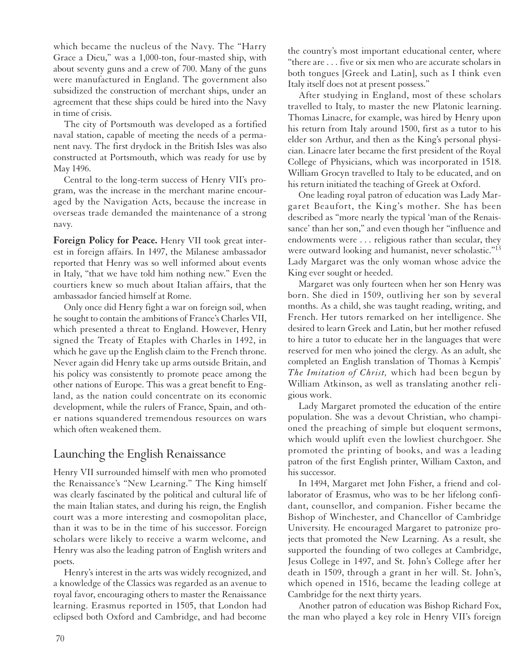which became the nucleus of the Navy. The "Harry Grace a Dieu," was a 1,000-ton, four-masted ship, with about seventy guns and a crew of 700. Many of the guns were manufactured in England. The government also subsidized the construction of merchant ships, under an agreement that these ships could be hired into the Navy in time of crisis.

The city of Portsmouth was developed as a fortified naval station, capable of meeting the needs of a permanent navy. The first drydock in the British Isles was also constructed at Portsmouth, which was ready for use by May 1496.

Central to the long-term success of Henry VII's program, was the increase in the merchant marine encouraged by the Navigation Acts, because the increase in overseas trade demanded the maintenance of a strong navy.

**Foreign Policy for Peace.** Henry VII took great interest in foreign affairs. In 1497, the Milanese ambassador reported that Henry was so well informed about events in Italy, "that we have told him nothing new." Even the courtiers knew so much about Italian affairs, that the ambassador fancied himself at Rome.

Only once did Henry fight a war on foreign soil, when he sought to contain the ambitions of France's Charles VII, which presented a threat to England. However, Henry signed the Treaty of Etaples with Charles in 1492, in which he gave up the English claim to the French throne. Never again did Henry take up arms outside Britain, and his policy was consistently to promote peace among the other nations of Europe. This was a great benefit to England, as the nation could concentrate on its economic development, while the rulers of France, Spain, and other nations squandered tremendous resources on wars which often weakened them.

## Launching the English Renaissance

Henry VII surrounded himself with men who promoted the Renaissance's "New Learning." The King himself was clearly fascinated by the political and cultural life of the main Italian states, and during his reign, the English court was a more interesting and cosmopolitan place, than it was to be in the time of his successor. Foreign scholars were likely to receive a warm welcome, and Henry was also the leading patron of English writers and poets.

Henry's interest in the arts was widely recognized, and a knowledge of the Classics was regarded as an avenue to royal favor, encouraging others to master the Renaissance learning. Erasmus reported in 1505, that London had eclipsed both Oxford and Cambridge, and had become the country's most important educational center, where "there are . . . five or six men who are accurate scholars in both tongues [Greek and Latin], such as I think even Italy itself does not at present possess."

After studying in England, most of these scholars travelled to Italy, to master the new Platonic learning. Thomas Linacre, for example, was hired by Henry upon his return from Italy around 1500, first as a tutor to his elder son Arthur, and then as the King's personal physician. Linacre later became the first president of the Royal College of Physicians, which was incorporated in 1518. William Grocyn travelled to Italy to be educated, and on his return initiated the teaching of Greek at Oxford.

One leading royal patron of education was Lady Margaret Beaufort, the King's mother. She has been described as "more nearly the typical 'man of the Renaissance' than her son," and even though her "influence and endowments were . . . religious rather than secular, they were outward looking and humanist, never scholastic."13 Lady Margaret was the only woman whose advice the King ever sought or heeded.

Margaret was only fourteen when her son Henry was born. She died in 1509, outliving her son by several months. As a child, she was taught reading, writing, and French. Her tutors remarked on her intelligence. She desired to learn Greek and Latin, but her mother refused to hire a tutor to educate her in the languages that were reserved for men who joined the clergy. As an adult, she completed an English translation of Thomas à Kempis' *The Imitation of Christ,* which had been begun by William Atkinson, as well as translating another religious work.

Lady Margaret promoted the education of the entire population. She was a devout Christian, who championed the preaching of simple but eloquent sermons, which would uplift even the lowliest churchgoer. She promoted the printing of books, and was a leading patron of the first English printer, William Caxton, and his successor.

In 1494, Margaret met John Fisher, a friend and collaborator of Erasmus, who was to be her lifelong confidant, counsellor, and companion. Fisher became the Bishop of Winchester, and Chancellor of Cambridge University. He encouraged Margaret to patronize projects that promoted the New Learning. As a result, she supported the founding of two colleges at Cambridge, Jesus College in 1497, and St. John's College after her death in 1509, through a grant in her will. St. John's, which opened in 1516, became the leading college at Cambridge for the next thirty years.

Another patron of education was Bishop Richard Fox, the man who played a key role in Henry VII's foreign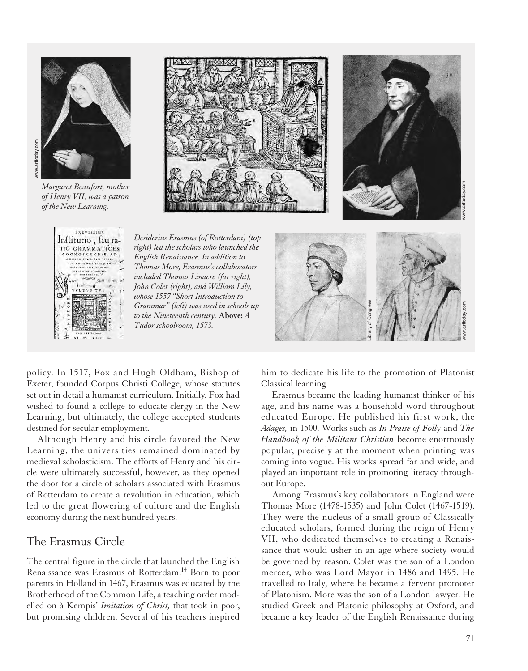

*Margaret Beaufort, mother of Henry VII, was a patron of the New Learning.*







*Desiderius Erasmus (of Rotterdam) (top right) led the scholars who launched the English Renaissance. In addition to Thomas More, Erasmus's collaborators included Thomas Linacre (far right), John Colet (right), and William Lily, whose 1557 "Short Introduction to Grammar" (left) was used in schools up to the Nineteenth century.* **Above:** *A Tudor schoolroom, 1573.*



policy. In 1517, Fox and Hugh Oldham, Bishop of Exeter, founded Corpus Christi College, whose statutes set out in detail a humanist curriculum. Initially, Fox had wished to found a college to educate clergy in the New Learning, but ultimately, the college accepted students destined for secular employment.

Although Henry and his circle favored the New Learning, the universities remained dominated by medieval scholasticism. The efforts of Henry and his circle were ultimately successful, however, as they opened the door for a circle of scholars associated with Erasmus of Rotterdam to create a revolution in education, which led to the great flowering of culture and the English economy during the next hundred years.

#### The Erasmus Circle

The central figure in the circle that launched the English Renaissance was Erasmus of Rotterdam.14 Born to poor parents in Holland in 1467, Erasmus was educated by the Brotherhood of the Common Life, a teaching order modelled on à Kempis' *Imitation of Christ,* that took in poor, but promising children. Several of his teachers inspired him to dedicate his life to the promotion of Platonist Classical learning.

Erasmus became the leading humanist thinker of his age, and his name was a household word throughout educated Europe. He published his first work, the *Adages,* in 1500. Works such as *In Praise of Folly* and *The Handbook of the Militant Christian* become enormously popular, precisely at the moment when printing was coming into vogue. His works spread far and wide, and played an important role in promoting literacy throughout Europe.

Among Erasmus's key collaborators in England were Thomas More (1478-1535) and John Colet (1467-1519). They were the nucleus of a small group of Classically educated scholars, formed during the reign of Henry VII, who dedicated themselves to creating a Renaissance that would usher in an age where society would be governed by reason. Colet was the son of a London mercer, who was Lord Mayor in 1486 and 1495. He travelled to Italy, where he became a fervent promoter of Platonism. More was the son of a London lawyer. He studied Greek and Platonic philosophy at Oxford, and became a key leader of the English Renaissance during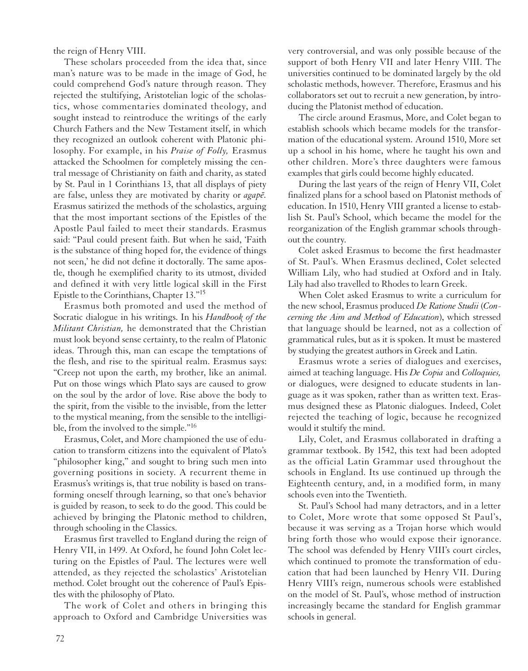the reign of Henry VIII.

These scholars proceeded from the idea that, since man's nature was to be made in the image of God, he could comprehend God's nature through reason. They rejected the stultifying, Aristotelian logic of the scholastics, whose commentaries dominated theology, and sought instead to reintroduce the writings of the early Church Fathers and the New Testament itself, in which they recognized an outlook coherent with Platonic philosophy. For example, in his *Praise of Folly,* Erasmus attacked the Schoolmen for completely missing the central message of Christianity on faith and charity, as stated by St. Paul in 1 Corinthians 13, that all displays of piety are false, unless they are motivated by charity or  $a\alpha\beta\bar{e}$ . Erasmus satirized the methods of the scholastics, arguing that the most important sections of the Epistles of the Apostle Paul failed to meet their standards. Erasmus said: "Paul could present faith. But when he said, 'Faith is the substance of thing hoped for, the evidence of things not seen,' he did not define it doctorally. The same apostle, though he exemplified charity to its utmost, divided and defined it with very little logical skill in the First Epistle to the Corinthians, Chapter 13."15

Erasmus both promoted and used the method of Socratic dialogue in his writings. In his *Handbook of the Militant Christian,* he demonstrated that the Christian must look beyond sense certainty, to the realm of Platonic ideas. Through this, man can escape the temptations of the flesh, and rise to the spiritual realm. Erasmus says: "Creep not upon the earth, my brother, like an animal. Put on those wings which Plato says are caused to grow on the soul by the ardor of love. Rise above the body to the spirit, from the visible to the invisible, from the letter to the mystical meaning, from the sensible to the intelligible, from the involved to the simple."16

Erasmus, Colet, and More championed the use of education to transform citizens into the equivalent of Plato's "philosopher king," and sought to bring such men into governing positions in society. A recurrent theme in Erasmus's writings is, that true nobility is based on transforming oneself through learning, so that one's behavior is guided by reason, to seek to do the good. This could be achieved by bringing the Platonic method to children, through schooling in the Classics.

Erasmus first travelled to England during the reign of Henry VII, in 1499. At Oxford, he found John Colet lecturing on the Epistles of Paul. The lectures were well attended, as they rejected the scholastics' Aristotelian method. Colet brought out the coherence of Paul's Epistles with the philosophy of Plato.

The work of Colet and others in bringing this approach to Oxford and Cambridge Universities was

very controversial, and was only possible because of the support of both Henry VII and later Henry VIII. The universities continued to be dominated largely by the old scholastic methods, however. Therefore, Erasmus and his collaborators set out to recruit a new generation, by introducing the Platonist method of education.

The circle around Erasmus, More, and Colet began to establish schools which became models for the transformation of the educational system. Around 1510, More set up a school in his home, where he taught his own and other children. More's three daughters were famous examples that girls could become highly educated.

During the last years of the reign of Henry VII, Colet finalized plans for a school based on Platonist methods of education. In 1510, Henry VIII granted a license to establish St. Paul's School, which became the model for the reorganization of the English grammar schools throughout the country.

Colet asked Erasmus to become the first headmaster of St. Paul's. When Erasmus declined, Colet selected William Lily, who had studied at Oxford and in Italy. Lily had also travelled to Rhodes to learn Greek.

When Colet asked Erasmus to write a curriculum for the new school, Erasmus produced *De Ratione Studii* (*Concerning the Aim and Method of Education*), which stressed that language should be learned, not as a collection of grammatical rules, but as it is spoken. It must be mastered by studying the greatest authors in Greek and Latin.

Erasmus wrote a series of dialogues and exercises, aimed at teaching language. His *De Copia* and *Colloquies,* or dialogues, were designed to educate students in language as it was spoken, rather than as written text. Erasmus designed these as Platonic dialogues. Indeed, Colet rejected the teaching of logic, because he recognized would it stultify the mind.

Lily, Colet, and Erasmus collaborated in drafting a grammar textbook. By 1542, this text had been adopted as the official Latin Grammar used throughout the schools in England. Its use continued up through the Eighteenth century, and, in a modified form, in many schools even into the Twentieth.

St. Paul's School had many detractors, and in a letter to Colet, More wrote that some opposed St Paul's, because it was serving as a Trojan horse which would bring forth those who would expose their ignorance. The school was defended by Henry VIII's court circles, which continued to promote the transformation of education that had been launched by Henry VII. During Henry VIII's reign, numerous schools were established on the model of St. Paul's, whose method of instruction increasingly became the standard for English grammar schools in general.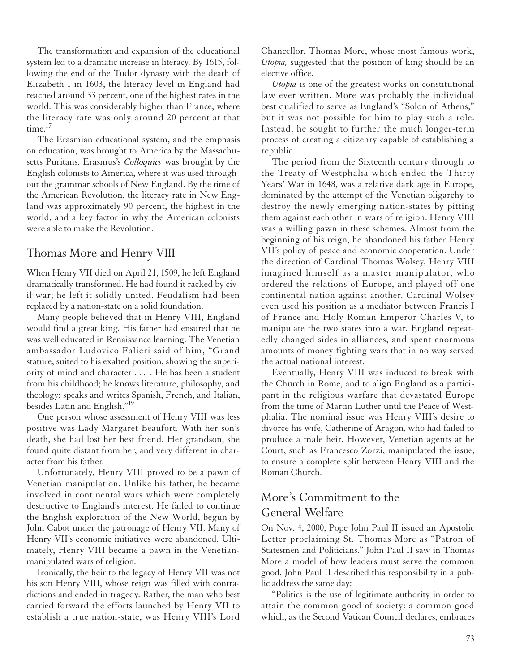The transformation and expansion of the educational system led to a dramatic increase in literacy. By 1615, following the end of the Tudor dynasty with the death of Elizabeth I in 1603, the literacy level in England had reached around 33 percent, one of the highest rates in the world. This was considerably higher than France, where the literacy rate was only around 20 percent at that time.<sup>17</sup>

The Erasmian educational system, and the emphasis on education, was brought to America by the Massachusetts Puritans. Erasmus's *Colloquies* was brought by the English colonists to America, where it was used throughout the grammar schools of New England. By the time of the American Revolution, the literacy rate in New England was approximately 90 percent, the highest in the world, and a key factor in why the American colonists were able to make the Revolution.

#### Thomas More and Henry VIII

When Henry VII died on April 21, 1509, he left England dramatically transformed. He had found it racked by civil war; he left it solidly united. Feudalism had been replaced by a nation-state on a solid foundation.

Many people believed that in Henry VIII, England would find a great king. His father had ensured that he was well educated in Renaissance learning. The Venetian ambassador Ludovico Falieri said of him, "Grand stature, suited to his exalted position, showing the superiority of mind and character . . . . He has been a student from his childhood; he knows literature, philosophy, and theology; speaks and writes Spanish, French, and Italian, besides Latin and English."19

One person whose assessment of Henry VIII was less positive was Lady Margaret Beaufort. With her son's death, she had lost her best friend. Her grandson, she found quite distant from her, and very different in character from his father.

Unfortunately, Henry VIII proved to be a pawn of Venetian manipulation. Unlike his father, he became involved in continental wars which were completely destructive to England's interest. He failed to continue the English exploration of the New World, begun by John Cabot under the patronage of Henry VII. Many of Henry VII's economic initiatives were abandoned. Ultimately, Henry VIII became a pawn in the Venetianmanipulated wars of religion.

Ironically, the heir to the legacy of Henry VII was not his son Henry VIII, whose reign was filled with contradictions and ended in tragedy. Rather, the man who best carried forward the efforts launched by Henry VII to establish a true nation-state, was Henry VIII's Lord Chancellor, Thomas More, whose most famous work, *Utopia,* suggested that the position of king should be an elective office.

*Utopia* is one of the greatest works on constitutional law ever written. More was probably the individual best qualified to serve as England's "Solon of Athens," but it was not possible for him to play such a role. Instead, he sought to further the much longer-term process of creating a citizenry capable of establishing a republic.

The period from the Sixteenth century through to the Treaty of Westphalia which ended the Thirty Years' War in 1648, was a relative dark age in Europe, dominated by the attempt of the Venetian oligarchy to destroy the newly emerging nation-states by pitting them against each other in wars of religion. Henry VIII was a willing pawn in these schemes. Almost from the beginning of his reign, he abandoned his father Henry VII's policy of peace and economic cooperation. Under the direction of Cardinal Thomas Wolsey, Henry VIII imagined himself as a master manipulator, who ordered the relations of Europe, and played off one continental nation against another. Cardinal Wolsey even used his position as a mediator between Francis I of France and Holy Roman Emperor Charles V, to manipulate the two states into a war. England repeatedly changed sides in alliances, and spent enormous amounts of money fighting wars that in no way served the actual national interest.

Eventually, Henry VIII was induced to break with the Church in Rome, and to align England as a participant in the religious warfare that devastated Europe from the time of Martin Luther until the Peace of Westphalia. The nominal issue was Henry VIII's desire to divorce his wife, Catherine of Aragon, who had failed to produce a male heir. However, Venetian agents at he Court, such as Francesco Zorzi, manipulated the issue, to ensure a complete split between Henry VIII and the Roman Church.

## More's Commitment to the General Welfare

On Nov. 4, 2000, Pope John Paul II issued an Apostolic Letter proclaiming St. Thomas More as "Patron of Statesmen and Politicians." John Paul II saw in Thomas More a model of how leaders must serve the common good. John Paul II described this responsibility in a public address the same day:

"Politics is the use of legitimate authority in order to attain the common good of society: a common good which, as the Second Vatican Council declares, embraces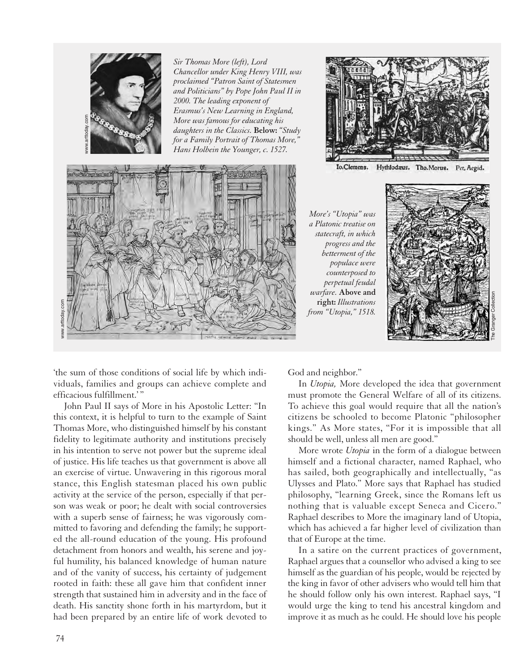



Io.Clemens. Hythlodaus. Tho.Morus. Pet, Aegid.

*More's "Utopia" was a Platonic treatise on statecraft, in which progress and the betterment of the populace were counterposed to perpetual feudal warfare.* **Above and right:** *Illustrations from "Utopia," 1518.*



'the sum of those conditions of social life by which individuals, families and groups can achieve complete and efficacious fulfillment.' "

John Paul II says of More in his Apostolic Letter: "In this context, it is helpful to turn to the example of Saint Thomas More, who distinguished himself by his constant fidelity to legitimate authority and institutions precisely in his intention to serve not power but the supreme ideal of justice. His life teaches us that government is above all an exercise of virtue. Unwavering in this rigorous moral stance, this English statesman placed his own public activity at the service of the person, especially if that person was weak or poor; he dealt with social controversies with a superb sense of fairness; he was vigorously committed to favoring and defending the family; he supported the all-round education of the young. His profound detachment from honors and wealth, his serene and joyful humility, his balanced knowledge of human nature and of the vanity of success, his certainty of judgement rooted in faith: these all gave him that confident inner strength that sustained him in adversity and in the face of death. His sanctity shone forth in his martyrdom, but it had been prepared by an entire life of work devoted to

God and neighbor."

In *Utopia,* More developed the idea that government must promote the General Welfare of all of its citizens. To achieve this goal would require that all the nation's citizens be schooled to become Platonic "philosopher kings." As More states, "For it is impossible that all should be well, unless all men are good."

More wrote *Utopia* in the form of a dialogue between himself and a fictional character, named Raphael, who has sailed, both geographically and intellectually, "as Ulysses and Plato." More says that Raphael has studied philosophy, "learning Greek, since the Romans left us nothing that is valuable except Seneca and Cicero." Raphael describes to More the imaginary land of Utopia, which has achieved a far higher level of civilization than that of Europe at the time.

In a satire on the current practices of government, Raphael argues that a counsellor who advised a king to see himself as the guardian of his people, would be rejected by the king in favor of other advisers who would tell him that he should follow only his own interest. Raphael says, "I would urge the king to tend his ancestral kingdom and improve it as much as he could. He should love his people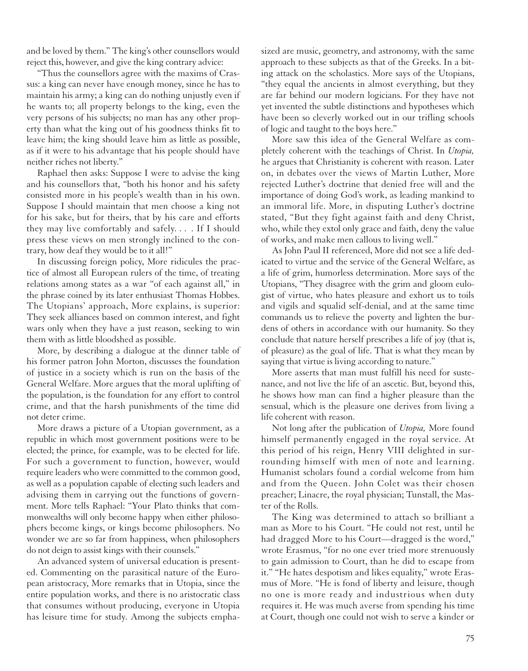and be loved by them." The king's other counsellors would reject this, however, and give the king contrary advice:

"Thus the counsellors agree with the maxims of Crassus: a king can never have enough money, since he has to maintain his army; a king can do nothing unjustly even if he wants to; all property belongs to the king, even the very persons of his subjects; no man has any other property than what the king out of his goodness thinks fit to leave him; the king should leave him as little as possible, as if it were to his advantage that his people should have neither riches not liberty."

Raphael then asks: Suppose I were to advise the king and his counsellors that, "both his honor and his safety consisted more in his people's wealth than in his own. Suppose I should maintain that men choose a king not for his sake, but for theirs, that by his care and efforts they may live comfortably and safely. . . . If I should press these views on men strongly inclined to the contrary, how deaf they would be to it all!"

In discussing foreign policy, More ridicules the practice of almost all European rulers of the time, of treating relations among states as a war "of each against all," in the phrase coined by its later enthusiast Thomas Hobbes. The Utopians' approach, More explains, is superior: They seek alliances based on common interest, and fight wars only when they have a just reason, seeking to win them with as little bloodshed as possible.

More, by describing a dialogue at the dinner table of his former patron John Morton, discusses the foundation of justice in a society which is run on the basis of the General Welfare. More argues that the moral uplifting of the population, is the foundation for any effort to control crime, and that the harsh punishments of the time did not deter crime.

More draws a picture of a Utopian government, as a republic in which most government positions were to be elected; the prince, for example, was to be elected for life. For such a government to function, however, would require leaders who were committed to the common good, as well as a population capable of electing such leaders and advising them in carrying out the functions of government. More tells Raphael: "Your Plato thinks that commonwealths will only become happy when either philosophers become kings, or kings become philosophers. No wonder we are so far from happiness, when philosophers do not deign to assist kings with their counsels."

An advanced system of universal education is presented. Commenting on the parasitical nature of the European aristocracy, More remarks that in Utopia, since the entire population works, and there is no aristocratic class that consumes without producing, everyone in Utopia has leisure time for study. Among the subjects emphasized are music, geometry, and astronomy, with the same approach to these subjects as that of the Greeks. In a biting attack on the scholastics. More says of the Utopians, "they equal the ancients in almost everything, but they are far behind our modern logicians. For they have not yet invented the subtle distinctions and hypotheses which have been so cleverly worked out in our trifling schools of logic and taught to the boys here."

More saw this idea of the General Welfare as completely coherent with the teachings of Christ. In *Utopia,* he argues that Christianity is coherent with reason. Later on, in debates over the views of Martin Luther, More rejected Luther's doctrine that denied free will and the importance of doing God's work, as leading mankind to an immoral life. More, in disputing Luther's doctrine stated, "But they fight against faith and deny Christ, who, while they extol only grace and faith, deny the value of works, and make men callous to living well."

As John Paul II referenced, More did not see a life dedicated to virtue and the service of the General Welfare, as a life of grim, humorless determination. More says of the Utopians, "They disagree with the grim and gloom eulogist of virtue, who hates pleasure and exhort us to toils and vigils and squalid self-denial, and at the same time commands us to relieve the poverty and lighten the burdens of others in accordance with our humanity. So they conclude that nature herself prescribes a life of joy (that is, of pleasure) as the goal of life. That is what they mean by saying that virtue is living according to nature."

More asserts that man must fulfill his need for sustenance, and not live the life of an ascetic. But, beyond this, he shows how man can find a higher pleasure than the sensual, which is the pleasure one derives from living a life coherent with reason.

Not long after the publication of *Utopia,* More found himself permanently engaged in the royal service. At this period of his reign, Henry VIII delighted in surrounding himself with men of note and learning. Humanist scholars found a cordial welcome from him and from the Queen. John Colet was their chosen preacher; Linacre, the royal physician; Tunstall, the Master of the Rolls.

The King was determined to attach so brilliant a man as More to his Court. "He could not rest, until he had dragged More to his Court—dragged is the word," wrote Erasmus, "for no one ever tried more strenuously to gain admission to Court, than he did to escape from it." "He hates despotism and likes equality," wrote Erasmus of More. "He is fond of liberty and leisure, though no one is more ready and industrious when duty requires it. He was much averse from spending his time at Court, though one could not wish to serve a kinder or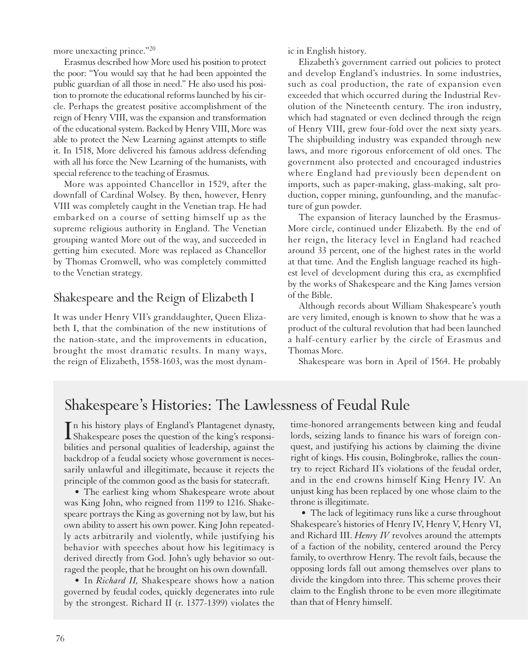more unexacting prince."20

Erasmus described how More used his position to protect the poor: "You would say that he had been appointed the public guardian of all those in need." He also used his position to promote the educational reforms launched by his circle. Perhaps the greatest positive accomplishment of the reign of Henry VIII, was the expansion and transformation of the educational system. Backed by Henry VIII, More was able to protect the New Learning against attempts to stifle it. In 1518, More delivered his famous address defending with all his force the New Learning of the humanists, with special reference to the teaching of Erasmus.

More was appointed Chancellor in 1529, after the downfall of Cardinal Wolsey. By then, however, Henry VIII was completely caught in the Venetian trap. He had embarked on a course of setting himself up as the supreme religious authority in England. The Venetian grouping wanted More out of the way, and succeeded in getting him executed. More was replaced as Chancellor by Thomas Cromwell, who was completely committed to the Venetian strategy.

## Shakespeare and the Reign of Elizabeth I

It was under Henry VII's granddaughter, Queen Elizabeth I, that the combination of the new institutions of the nation-state, and the improvements in education, brought the most dramatic results. In many ways, the reign of Elizabeth, 1558-1603, was the most dynamic in English history.

Elizabeth's government carried out policies to protect and develop England's industries. In some industries, such as coal production, the rate of expansion even exceeded that which occurred during the Industrial Revolution of the Nineteenth century. The iron industry, which had stagnated or even declined through the reign of Henry VIII, grew four-fold over the next sixty years. The shipbuilding industry was expanded through new laws, and more rigorous enforcement of old ones. The government also protected and encouraged industries where England had previously been dependent on imports, such as paper-making, glass-making, salt production, copper mining, gunfounding, and the manufacture of gun powder.

The expansion of literacy launched by the Erasmus-More circle, continued under Elizabeth. By the end of her reign, the literacy level in England had reached around 33 percent, one of the highest rates in the world at that time. And the English language reached its highest level of development during this era, as exemplified by the works of Shakespeare and the King James version of the Bible.

Although records about William Shakespeare's youth are very limited, enough is known to show that he was a product of the cultural revolution that had been launched a half-century earlier by the circle of Erasmus and Thomas More.

Shakespeare was born in April of 1564. He probably

## Shakespeare's Histories: The Lawlessness of Feudal Rule

In his history plays of England's Plantagenet dynasty,<br>Shakespeare poses the question of the king's responsi-Shakespeare poses the question of the king's responsibilities and personal qualities of leadership, against the backdrop of a feudal society whose government is necessarily unlawful and illegitimate, because it rejects the principle of the common good as the basis for statecraft.

• The earliest king whom Shakespeare wrote about was King John, who reigned from 1199 to 1216. Shakespeare portrays the King as governing not by law, but his own ability to assert his own power. King John repeatedly acts arbitrarily and violently, while justifying his behavior with speeches about how his legitimacy is derived directly from God. John's ugly behavior so outraged the people, that he brought on his own downfall.

• In *Richard II,* Shakespeare shows how a nation governed by feudal codes, quickly degenerates into rule by the strongest. Richard II (r. 1377-1399) violates the time-honored arrangements between king and feudal lords, seizing lands to finance his wars of foreign conquest, and justifying his actions by claiming the divine right of kings. His cousin, Bolingbroke, rallies the country to reject Richard II's violations of the feudal order, and in the end crowns himself King Henry IV. An unjust king has been replaced by one whose claim to the throne is illegitimate.

• The lack of legitimacy runs like a curse throughout Shakespeare's histories of Henry IV, Henry V, Henry VI, and Richard III. *Henry IV* revolves around the attempts of a faction of the nobility, centered around the Percy family, to overthrow Henry. The revolt fails, because the opposing lords fall out among themselves over plans to divide the kingdom into three. This scheme proves their claim to the English throne to be even more illegitimate than that of Henry himself.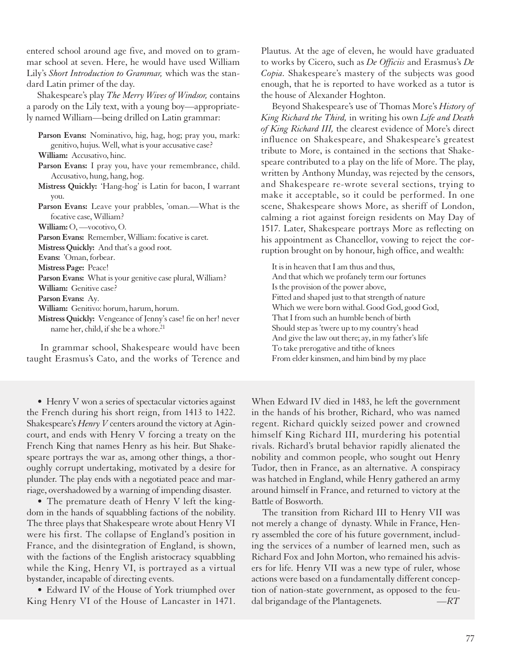entered school around age five, and moved on to grammar school at seven. Here, he would have used William Lily's *Short Introduction to Grammar,* which was the standard Latin primer of the day.

Shakespeare's play *The Merry Wives of Windsor,* contains a parody on the Lily text, with a young boy—appropriately named William—being drilled on Latin grammar:

| Parson Evans: Nominativo, hig, hag, hog; pray you, mark:              |
|-----------------------------------------------------------------------|
| genitivo, hujus. Well, what is your accusative case?                  |
| William: Accusativo, hinc.                                            |
| <b>Parson Evans:</b> I pray you, have your remembrance, child.        |
| Accusativo, hung, hang, hog.                                          |
| Mistress Quickly: 'Hang-hog' is Latin for bacon, I warrant            |
| you.                                                                  |
| <b>Parson Evans:</b> Leave your prabbles, 'oman.—What is the          |
| focative case, William?                                               |
| William: O, -vocotivo, O.                                             |
| <b>Parson Evans:</b> Remember, William: focative is caret.            |
| <b>Mistress Quickly:</b> And that's a good root.                      |
| Evans: 'Oman, forbear.                                                |
| Mistress Page: Peace!                                                 |
| <b>Parson Evans:</b> What is your genitive case plural, William?      |
| William: Genitive case?                                               |
| Parson Evans: Ay.                                                     |
| William: Genitivo: horum, harum, horum.                               |
| <b>Mistress Quickly:</b> Vengeance of Jenny's case! fie on her! never |
| name her, child, if she be a whore. <sup>21</sup>                     |
|                                                                       |

In grammar school, Shakespeare would have been taught Erasmus's Cato, and the works of Terence and

• Henry V won a series of spectacular victories against the French during his short reign, from 1413 to 1422. Shakespeare's *Henry V* centers around the victory at Agincourt, and ends with Henry V forcing a treaty on the French King that names Henry as his heir. But Shakespeare portrays the war as, among other things, a thoroughly corrupt undertaking, motivated by a desire for plunder. The play ends with a negotiated peace and marriage, overshadowed by a warning of impending disaster.

• The premature death of Henry V left the kingdom in the hands of squabbling factions of the nobility. The three plays that Shakespeare wrote about Henry VI were his first. The collapse of England's position in France, and the disintegration of England, is shown, with the factions of the English aristocracy squabbling while the King, Henry VI, is portrayed as a virtual bystander, incapable of directing events.

• Edward IV of the House of York triumphed over King Henry VI of the House of Lancaster in 1471.

Plautus. At the age of eleven, he would have graduated to works by Cicero, such as *De Officiis* and Erasmus's *De Copia.* Shakespeare's mastery of the subjects was good enough, that he is reported to have worked as a tutor is the house of Alexander Hoghton.

Beyond Shakespeare's use of Thomas More's *History of King Richard the Third,* in writing his own *Life and Death of King Richard III,* the clearest evidence of More's direct influence on Shakespeare, and Shakespeare's greatest tribute to More, is contained in the sections that Shakespeare contributed to a play on the life of More. The play, written by Anthony Munday, was rejected by the censors, and Shakespeare re-wrote several sections, trying to make it acceptable, so it could be performed. In one scene, Shakespeare shows More, as sheriff of London, calming a riot against foreign residents on May Day of 1517. Later, Shakespeare portrays More as reflecting on his appointment as Chancellor, vowing to reject the corruption brought on by honour, high office, and wealth:

It is in heaven that I am thus and thus, And that which we profanely term our fortunes Is the provision of the power above, Fitted and shaped just to that strength of nature Which we were born withal. Good God, good God, That I from such an humble bench of birth Should step as 'twere up to my country's head And give the law out there; ay, in my father's life To take prerogative and tithe of knees From elder kinsmen, and him bind by my place

When Edward IV died in 1483, he left the government in the hands of his brother, Richard, who was named regent. Richard quickly seized power and crowned himself King Richard III, murdering his potential rivals. Richard's brutal behavior rapidly alienated the nobility and common people, who sought out Henry Tudor, then in France, as an alternative. A conspiracy was hatched in England, while Henry gathered an army around himself in France, and returned to victory at the Battle of Bosworth.

The transition from Richard III to Henry VII was not merely a change of dynasty. While in France, Henry assembled the core of his future government, including the services of a number of learned men, such as Richard Fox and John Morton, who remained his advisers for life. Henry VII was a new type of ruler, whose actions were based on a fundamentally different conception of nation-state government, as opposed to the feudal brigandage of the Plantagenets. *—RT*